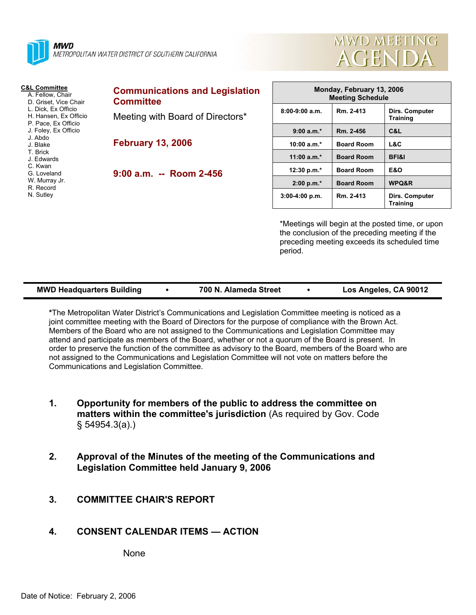



| <b>C&amp;L Committee</b><br>A. Fellow, Chair<br>D. Griset. Vice Chair<br>L. Dick, Ex Officio<br>H. Hansen, Ex Officio<br>P. Pace, Ex Officio | <b>Communications and Legislation</b><br><b>Committee</b> |  |
|----------------------------------------------------------------------------------------------------------------------------------------------|-----------------------------------------------------------|--|
|                                                                                                                                              | Meeting with Board of Directors*                          |  |
| J. Foley, Ex Officio                                                                                                                         |                                                           |  |
| J. Abdo<br>J. Blake                                                                                                                          | <b>February 13, 2006</b>                                  |  |
| T. Brick<br>J. Edwards                                                                                                                       |                                                           |  |
| C. Kwan                                                                                                                                      |                                                           |  |
| G. Loveland<br>W. Murray Jr.<br>R. Record<br>N. Sutley                                                                                       | 9:00 a.m. -- Room 2-456                                   |  |
|                                                                                                                                              |                                                           |  |
|                                                                                                                                              |                                                           |  |
|                                                                                                                                              |                                                           |  |

| Monday, February 13, 2006<br><b>Meeting Schedule</b> |                   |                                   |  |  |
|------------------------------------------------------|-------------------|-----------------------------------|--|--|
| $8:00-9:00$ a.m.                                     | Rm. 2-413         | Dirs. Computer<br><b>Training</b> |  |  |
| $9:00 a.m.*$                                         | Rm. 2-456         | C&L                               |  |  |
| 10:00 $a.m.*$                                        | <b>Board Room</b> | L&C                               |  |  |
| 11:00 $a.m.*$                                        | <b>Board Room</b> | <b>BFI&amp;I</b>                  |  |  |
| 12:30 p.m.*                                          | <b>Board Room</b> | <b>E&amp;O</b>                    |  |  |
| $2:00 p.m.*$                                         | <b>Board Room</b> | <b>WPQ&amp;R</b>                  |  |  |
| $3:00-4:00$ p.m.                                     | Rm. 2-413         | Dirs. Computer<br><b>Training</b> |  |  |

\*Meetings will begin at the posted time, or upon the conclusion of the preceding meeting if the preceding meeting exceeds its scheduled time period.

| <b>MWD Headquarters Building</b> |  | 700 N. Alameda Street |  | Los Angeles, CA 90012 |
|----------------------------------|--|-----------------------|--|-----------------------|
|----------------------------------|--|-----------------------|--|-----------------------|

**\***The Metropolitan Water District's Communications and Legislation Committee meeting is noticed as a joint committee meeting with the Board of Directors for the purpose of compliance with the Brown Act. Members of the Board who are not assigned to the Communications and Legislation Committee may attend and participate as members of the Board, whether or not a quorum of the Board is present. In order to preserve the function of the committee as advisory to the Board, members of the Board who are not assigned to the Communications and Legislation Committee will not vote on matters before the Communications and Legislation Committee.

- **1. Opportunity for members of the public to address the committee on matters within the committee's jurisdiction** (As required by Gov. Code § 54954.3(a).)
- **2. Approval of the Minutes of the meeting of the Communications and Legislation Committee held January 9, 2006**
- **3. COMMITTEE CHAIR'S REPORT**

# **4. CONSENT CALENDAR ITEMS — ACTION**

**None**